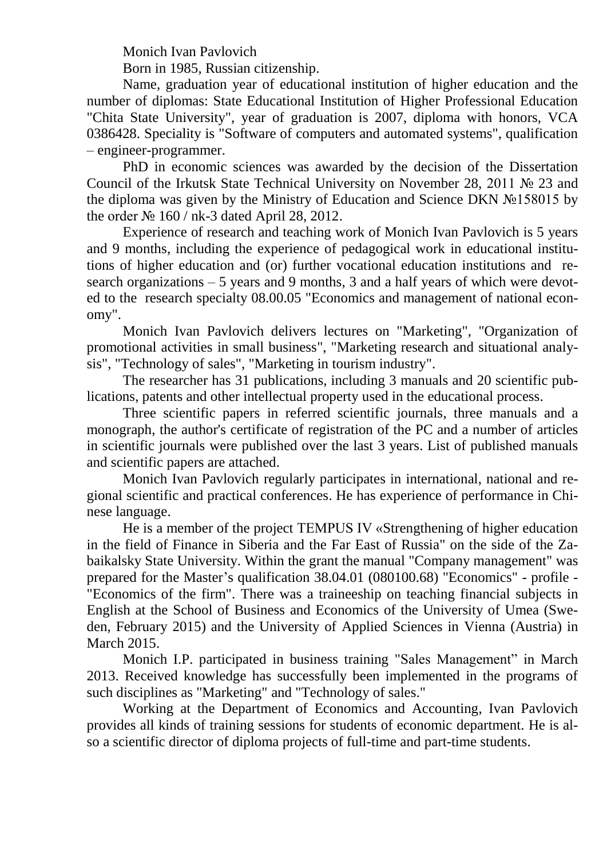Monich Ivan Pavlovich

Born in 1985, Russian citizenship.

Name, graduation year of educational institution of higher education and the number of diplomas: State Educational Institution of Higher Professional Education "Chita State University", year of graduation is 2007, diploma with honors, VCA 0386428. Speciality is "Software of computers and automated systems", qualification – engineer-programmer.

PhD in economic sciences was awarded by the decision of the Dissertation Council of the Irkutsk State Technical University on November 28, 2011 № 23 and the diploma was given by the Ministry of Education and Science DKN №158015 by the order № 160 / nk-3 dated April 28, 2012.

Experience of research and teaching work of Monich Ivan Pavlovich is 5 years and 9 months, including the experience of pedagogical work in educational institutions of higher education and (or) further vocational education institutions and research organizations – 5 years and 9 months, 3 and a half years of which were devoted to the research specialty 08.00.05 "Economics and management of national economy".

Monich Ivan Pavlovich delivers lectures on "Marketing", "Organization of promotional activities in small business", "Marketing research and situational analysis", "Technology of sales", "Marketing in tourism industry".

The researcher has 31 publications, including 3 manuals and 20 scientific publications, patents and other intellectual property used in the educational process.

Three scientific papers in referred scientific journals, three manuals and a monograph, the author's certificate of registration of the PC and a number of articles in scientific journals were published over the last 3 years. List of published manuals and scientific papers are attached.

Monich Ivan Pavlovich regularly participates in international, national and regional scientific and practical conferences. He has experience of performance in Chinese language.

He is a member of the project TEMPUS IV «Strengthening of higher education in the field of Finance in Siberia and the Far East of Russia" on the side of the Zabaikalsky State University. Within the grant the manual "Company management" was prepared for the Master's qualification 38.04.01 (080100.68) "Economics" - profile - "Economics of the firm". There was a traineeship on teaching financial subjects in English at the School of Business and Economics of the University of Umea (Sweden, February 2015) and the University of Applied Sciences in Vienna (Austria) in March 2015.

Monich I.P. participated in business training "Sales Management" in March 2013. Received knowledge has successfully been implemented in the programs of such disciplines as "Marketing" and "Technology of sales."

Working at the Department of Economics and Accounting, Ivan Pavlovich provides all kinds of training sessions for students of economic department. He is also a scientific director of diploma projects of full-time and part-time students.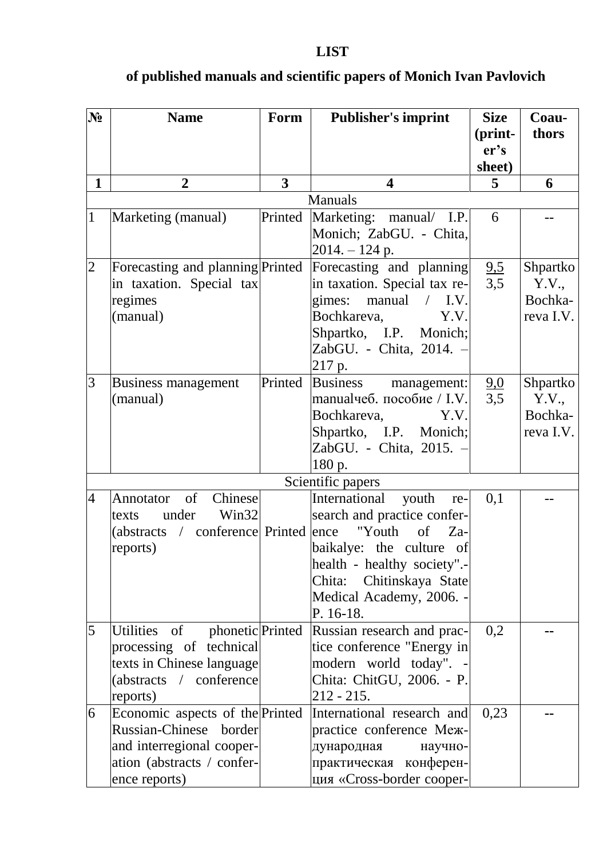## **№ Name Form Publisher's imprint Size (printer's sheet) Coauthors 1 2 3 4 5 6** Manuals 1 Marketing (manual) Printed Marketing: manual/ I.P. Monich; ZabGU. - Chita,  $2014. - 124$  p. 6 2 | Forecasting and planning Printed in taxation. Special tax regimes (manual) Forecasting and planning in taxation. Special tax regimes: manual / I.V. Bochkareva, Y.V. Shpartko, I.P. Monich; ZabGU. - Chita, 2014. – 217 p. 9,5 3,5 Shpartko Y.V., Bochkareva I.V. 3 Business management (manual) Printed Business management: manualчеб. пособие / I.V. Bochkareva, Y.V. Shpartko, I.P. Monich; ZabGU. - Chita, 2015. – 180 p. 9,0 3,5 Shpartko Y.V., Bochkareva I.V. Scientific papers 4 Annotator of Chinese texts under Win32 (abstracts / conference Printed reports) International youth research and practice confer-"Youth of  $Z_{a}$ baikalye: the culture of health - healthy society".- Chita: Chitinskaya State Medical Academy, 2006. - P. 16-18.  $0.1$ 5 Utilities of phonetic Printed processing of technical texts in Chinese language (abstracts / conference reports) Russian research and practice conference "Energy in modern world today". - Chita: ChitGU, 2006. - P.  $212 - 215$ . 0,2 **--** 6 Economic aspects of the Printed Russian-Chinese border and interregional cooperation (abstracts / conference reports) International research and practice conference Международная научнопрактическая конференция «Cross-border cooper- $0.23$  --

## **of published manuals and scientific papers of Monich Ivan Pavlovich**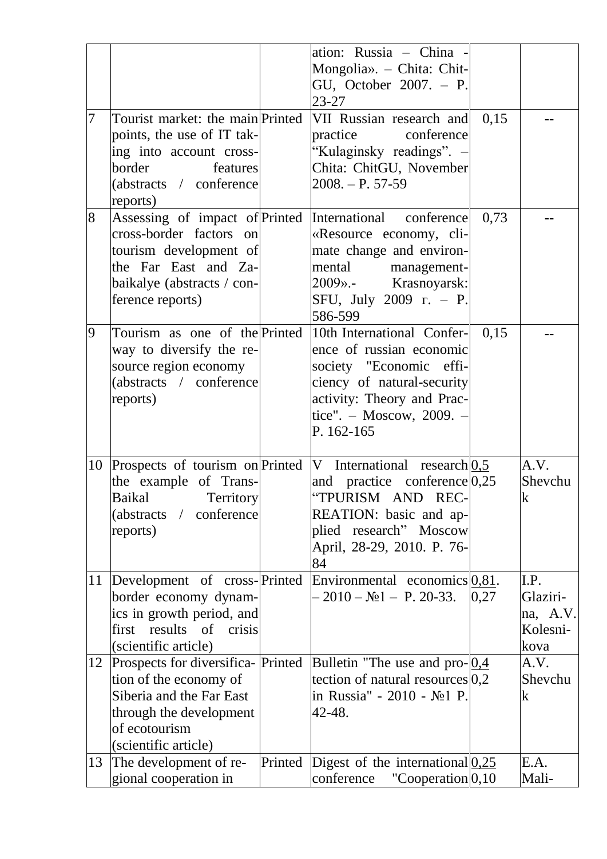|    |                                    |         | ation: Russia - China -                                 |      |             |
|----|------------------------------------|---------|---------------------------------------------------------|------|-------------|
|    |                                    |         | Mongolia». - Chita: Chit-                               |      |             |
|    |                                    |         | GU, October 2007. - P.                                  |      |             |
|    |                                    |         | $23 - 27$                                               |      |             |
| 7  | Tourist market: the main Printed   |         | VII Russian research and                                | 0,15 |             |
|    | points, the use of IT tak-         |         | practice<br>conference                                  |      |             |
|    | ing into account cross-            |         | "Kulaginsky readings". -                                |      |             |
|    | border<br>features                 |         | Chita: ChitGU, November                                 |      |             |
|    | (abstracts / conference            |         | $2008. - P. 57-59$                                      |      |             |
|    | reports)                           |         |                                                         |      |             |
| 8  |                                    |         | Assessing of impact of Printed International conference | 0,73 |             |
|    | cross-border factors on            |         | «Resource economy, cli-                                 |      |             |
|    | tourism development of             |         | mate change and environ-                                |      |             |
|    | the Far East and Za-               |         | mental<br>management-                                   |      |             |
|    | baikalye (abstracts / con-         |         | Krasnoyarsk:<br>$2009$                                  |      |             |
|    | ference reports)                   |         | SFU, July 2009 r. - P.                                  |      |             |
|    |                                    |         | 586-599                                                 |      |             |
| 9  | Tourism as one of the Printed      |         | 10th International Confer-                              | 0,15 |             |
|    | way to diversify the re-           |         | ence of russian economic                                |      |             |
|    | source region economy              |         | society "Economic effi-                                 |      |             |
|    | (abstracts / conference            |         | ciency of natural-security                              |      |             |
|    | reports)                           |         | activity: Theory and Prac-                              |      |             |
|    |                                    |         | tice". - Moscow, 2009. -                                |      |             |
|    |                                    |         | P. 162-165                                              |      |             |
|    |                                    |         |                                                         |      |             |
| 10 | Prospects of tourism on Printed    |         | V International research $ 0,5 $                        |      | A.V.        |
|    | the example of Trans-              |         | and practice conference $0,25$                          |      | Shevchu     |
|    | <b>Baikal</b><br>Territory         |         | "TPURISM AND REC-                                       |      | $\mathbf k$ |
|    | (abstracts / conference            |         | REATION: basic and ap-                                  |      |             |
|    | reports)                           |         | plied research" Moscow                                  |      |             |
|    |                                    |         | April, 28-29, 2010. P. 76-                              |      |             |
|    |                                    |         | 84                                                      |      |             |
| 11 | Development of cross-Printed       |         | Environmental economics $0.81$ .                        |      | I.P.        |
|    | border economy dynam-              |         | $-2010 - N21 - P. 20-33.$                               | 0,27 | Glaziri-    |
|    | ics in growth period, and          |         |                                                         |      | na, A.V.    |
|    | first results of crisis            |         |                                                         |      | Kolesni-    |
|    | (scientific article)               |         |                                                         |      | kova        |
| 12 | Prospects for diversifica- Printed |         | Bulletin "The use and pro- $0.4$                        |      | A.V.        |
|    | tion of the economy of             |         | tection of natural resources $ 0,2 $                    |      | Shevchu     |
|    | Siberia and the Far East           |         | in Russia" - 2010 - No 1 P.                             |      | k           |
|    | through the development            |         | 42-48.                                                  |      |             |
|    | of ecotourism                      |         |                                                         |      |             |
|    | (scientific article)               |         |                                                         |      |             |
| 13 | The development of re-             | Printed | Digest of the international $0,25$                      |      | E.A.        |
|    | gional cooperation in              |         | conference<br>"Cooperation $ 0,10\rangle$ "             |      | Mali-       |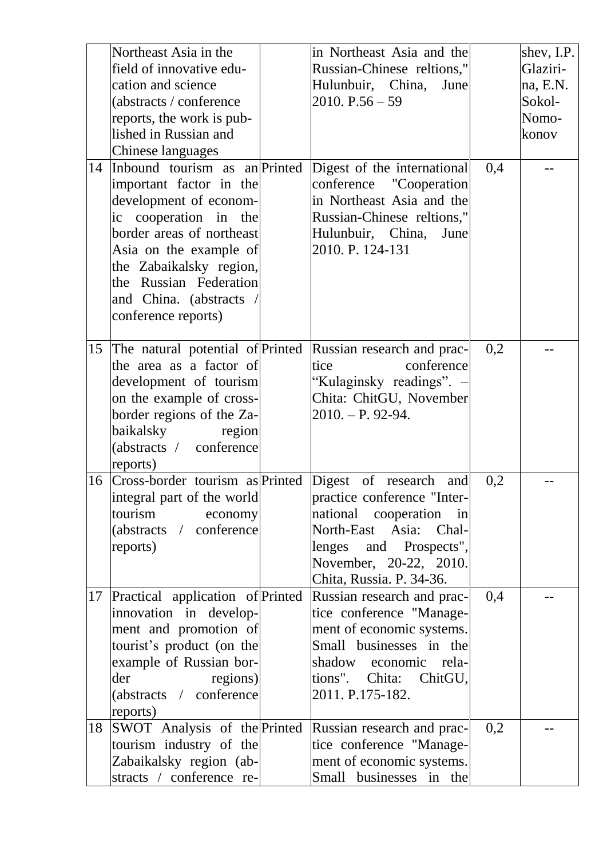| 14 | Northeast Asia in the<br>field of innovative edu-<br>cation and science<br>(abstracts / conference<br>reports, the work is pub-<br>lished in Russian and<br><b>Chinese languages</b><br>Inbound tourism as an Printed<br>important factor in the<br>development of econom-<br>ic cooperation in the<br>border areas of northeast<br>Asia on the example of<br>the Zabaikalsky region,<br>the Russian Federation<br>and China. (abstracts /<br>conference reports) | in Northeast Asia and the<br>Russian-Chinese reltions,"<br>Hulunbuir, China,<br>June<br>$2010. P.56 - 59$<br>Digest of the international<br>conference "Cooperation"<br>in Northeast Asia and the<br>Russian-Chinese reltions,"<br>Hulunbuir, China,<br>June<br>2010. P. 124-131 | 0,4 | shev, I.P.<br>Glaziri-<br>na, E.N.<br>Sokol-<br>Nomo-<br>konov |
|----|-------------------------------------------------------------------------------------------------------------------------------------------------------------------------------------------------------------------------------------------------------------------------------------------------------------------------------------------------------------------------------------------------------------------------------------------------------------------|----------------------------------------------------------------------------------------------------------------------------------------------------------------------------------------------------------------------------------------------------------------------------------|-----|----------------------------------------------------------------|
| 15 | The natural potential of Printed<br>the area as a factor of<br>development of tourism<br>on the example of cross-<br>border regions of the Za-<br>baikalsky region<br>(abstracts / conference<br>reports)                                                                                                                                                                                                                                                         | Russian research and prac-<br>conference<br>tice<br>"Kulaginsky readings".<br>Chita: ChitGU, November<br>$2010. - P. 92-94.$                                                                                                                                                     | 0,2 |                                                                |
| 16 | Cross-border tourism as Printed Digest of research<br>integral part of the world<br>tourism economy<br>(abstracts / conference<br>reports)                                                                                                                                                                                                                                                                                                                        | and<br>practice conference "Inter-<br>national cooperation in<br>North-East Asia: Chal-<br>lenges and Prospects",<br>November, 20-22, 2010.<br>Chita, Russia. P. 34-36.                                                                                                          | 0,2 |                                                                |
| 17 | Practical application of Printed<br>innovation in develop-<br>ment and promotion of<br>tourist's product (on the<br>example of Russian bor-<br>der<br>regions)<br>(abstracts / conference<br>reports)                                                                                                                                                                                                                                                             | Russian research and prac-<br>tice conference "Manage-<br>ment of economic systems.<br>Small businesses in the<br>shadow economic rela-<br>tions". Chita: ChitGU,<br>2011. P.175-182.                                                                                            | 0,4 |                                                                |
| 18 | SWOT Analysis of the Printed<br>tourism industry of the<br>Zabaikalsky region (ab-<br>stracts / conference re-                                                                                                                                                                                                                                                                                                                                                    | Russian research and prac-<br>tice conference "Manage-<br>ment of economic systems.<br>Small businesses in the                                                                                                                                                                   | 0,2 |                                                                |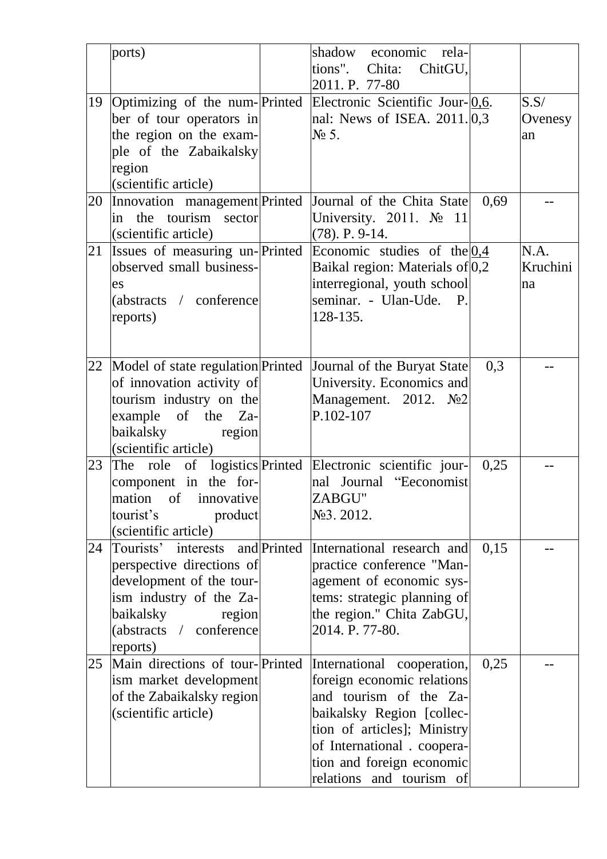|    | ports)                                                                                                                                                                                                 | shadow economic rela-<br>tions".<br>ChitGU,<br>Chita:<br>2011. P. 77-80                                                                                                                                                                |      |                        |
|----|--------------------------------------------------------------------------------------------------------------------------------------------------------------------------------------------------------|----------------------------------------------------------------------------------------------------------------------------------------------------------------------------------------------------------------------------------------|------|------------------------|
| 19 | Optimizing of the num- $\text{Printed}$ Electronic Scientific Jour- $\boxed{0,6}$ .<br>ber of tour operators in<br>the region on the exam-<br>ple of the Zabaikalsky<br>region<br>(scientific article) | nal: News of ISEA. 2011. 0,3<br>$\mathcal{N}$ 5.                                                                                                                                                                                       |      | S.S/<br>Ovenesy<br>an  |
| 20 | Innovation management Printed<br>in the tourism sector<br>(scientific article)                                                                                                                         | Journal of the Chita State<br>University. 2011. $N_2$ 11<br>$(78)$ . P. 9-14.                                                                                                                                                          | 0,69 |                        |
| 21 | Issues of measuring un-Printed<br>observed small business-<br>es<br>(abstracts / conference<br>reports)                                                                                                | Economic studies of the $0,4$<br>Baikal region: Materials of 0,2<br>interregional, youth school<br>seminar. - Ulan-Ude. P.<br>128-135.                                                                                                 |      | N.A.<br>Kruchini<br>na |
| 22 | Model of state regulation Printed<br>of innovation activity of<br>tourism industry on the<br>example of the Za-<br>baikalsky<br>region<br>(scientific article)                                         | Journal of the Buryat State<br>University. Economics and<br>Management. 2012. No2<br>P.102-107                                                                                                                                         | 0,3  |                        |
| 23 | The role of logistics Printed Electronic scientific jour-<br>component in the for-<br>mation of innovative<br>tourist's<br>product<br>(scientific article)                                             | nal Journal "Eeconomist<br>ZABGU"<br>No 3. 2012.                                                                                                                                                                                       | 0,25 |                        |
| 24 | Tourists' interests and Printed<br>perspective directions of<br>development of the tour-<br>ism industry of the Za-<br>baikalsky<br>region<br>(abstracts / conference<br>reports)                      | International research and<br>practice conference "Man-<br>agement of economic sys-<br>tems: strategic planning of<br>the region." Chita ZabGU,<br>2014. P. 77-80.                                                                     | 0,15 |                        |
| 25 | Main directions of tour-Printed<br>ism market development<br>of the Zabaikalsky region<br>(scientific article)                                                                                         | International cooperation,<br>foreign economic relations<br>and tourism of the Za-<br>baikalsky Region [collec-<br>tion of articles]; Ministry<br>of International . coopera-<br>tion and foreign economic<br>relations and tourism of | 0,25 |                        |